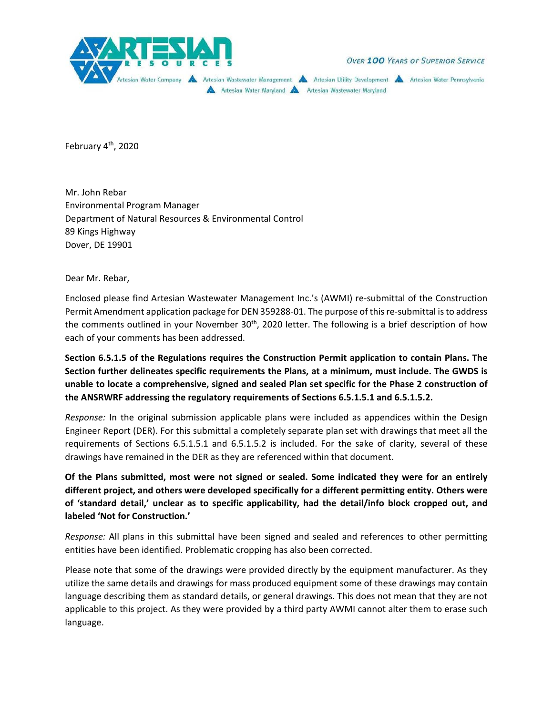

**OVER 100 YEARS OF SUPERIOR SERVICE** 

Artesian Water Company A Artesian Wastewater Management A Artesian Utility Development A Artesian Water Pennsylvania Artesian Water Maryland A Artesian Wastewater Maryland

February  $4<sup>th</sup>$ , 2020

Mr. John Rebar Environmental Program Manager Department of Natural Resources & Environmental Control 89 Kings Highway Dover, DE 19901

Dear Mr. Rebar,

Enclosed please find Artesian Wastewater Management Inc.'s (AWMI) re‐submittal of the Construction Permit Amendment application package for DEN 359288‐01. The purpose of this re‐submittal is to address the comments outlined in your November  $30<sup>th</sup>$ , 2020 letter. The following is a brief description of how each of your comments has been addressed.

**Section 6.5.1.5 of the Regulations requires the Construction Permit application to contain Plans. The Section further delineates specific requirements the Plans, at a minimum, must include. The GWDS is unable to locate a comprehensive, signed and sealed Plan set specific for the Phase 2 construction of the ANSRWRF addressing the regulatory requirements of Sections 6.5.1.5.1 and 6.5.1.5.2.** 

*Response:*  In the original submission applicable plans were included as appendices within the Design Engineer Report (DER). For this submittal a completely separate plan set with drawings that meet all the requirements of Sections 6.5.1.5.1 and 6.5.1.5.2 is included. For the sake of clarity, several of these drawings have remained in the DER as they are referenced within that document.

**Of the Plans submitted, most were not signed or sealed. Some indicated they were for an entirely different project, and others were developed specifically for a different permitting entity. Others were of 'standard detail,' unclear as to specific applicability, had the detail/info block cropped out, and labeled 'Not for Construction.'** 

*Response:* All plans in this submittal have been signed and sealed and references to other permitting entities have been identified. Problematic cropping has also been corrected.

Please note that some of the drawings were provided directly by the equipment manufacturer. As they utilize the same details and drawings for mass produced equipment some of these drawings may contain language describing them as standard details, or general drawings. This does not mean that they are not applicable to this project. As they were provided by a third party AWMI cannot alter them to erase such language.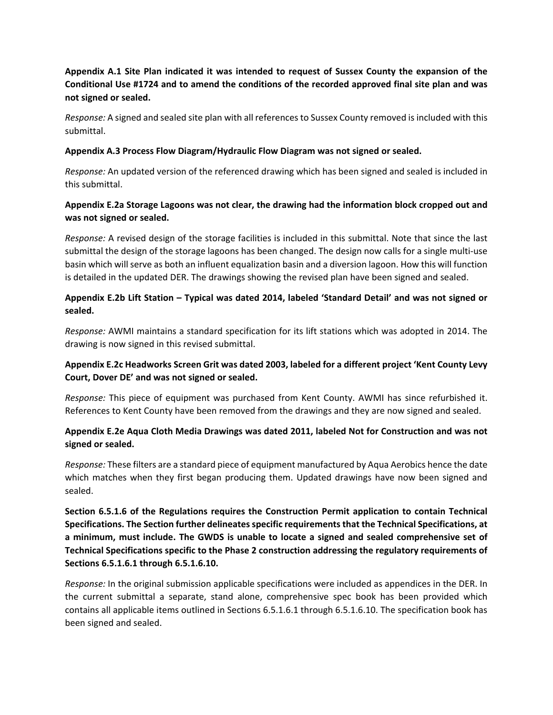# **Appendix A.1 Site Plan indicated it was intended to request of Sussex County the expansion of the Conditional Use #1724 and to amend the conditions of the recorded approved final site plan and was not signed or sealed.**

*Response:* A signed and sealed site plan with all references to Sussex County removed is included with this submittal.

#### **Appendix A.3 Process Flow Diagram/Hydraulic Flow Diagram was not signed or sealed.**

*Response:* An updated version of the referenced drawing which has been signed and sealed is included in this submittal.

### **Appendix E.2a Storage Lagoons was not clear, the drawing had the information block cropped out and was not signed or sealed.**

*Response:* A revised design of the storage facilities is included in this submittal. Note that since the last submittal the design of the storage lagoons has been changed. The design now calls for a single multi-use basin which will serve as both an influent equalization basin and a diversion lagoon. How this will function is detailed in the updated DER. The drawings showing the revised plan have been signed and sealed.

## **Appendix E.2b Lift Station – Typical was dated 2014, labeled 'Standard Detail' and was not signed or sealed.**

*Response:* AWMI maintains a standard specification for its lift stations which was adopted in 2014. The drawing is now signed in this revised submittal.

## **Appendix E.2c Headworks Screen Grit was dated 2003, labeled for a different project 'Kent County Levy Court, Dover DE' and was not signed or sealed.**

*Response:* This piece of equipment was purchased from Kent County. AWMI has since refurbished it. References to Kent County have been removed from the drawings and they are now signed and sealed.

#### **Appendix E.2e Aqua Cloth Media Drawings was dated 2011, labeled Not for Construction and was not signed or sealed.**

*Response:* These filters are a standard piece of equipment manufactured by Aqua Aerobics hence the date which matches when they first began producing them. Updated drawings have now been signed and sealed.

**Section 6.5.1.6 of the Regulations requires the Construction Permit application to contain Technical Specifications. The Section further delineates specific requirements that the Technical Specifications, at a minimum, must include. The GWDS is unable to locate a signed and sealed comprehensive set of Technical Specifications specific to the Phase 2 construction addressing the regulatory requirements of Sections 6.5.1.6.1 through 6.5.1.6.10.** 

*Response:* In the original submission applicable specifications were included as appendices in the DER. In the current submittal a separate, stand alone, comprehensive spec book has been provided which contains all applicable items outlined in Sections 6.5.1.6.1 through 6.5.1.6.10. The specification book has been signed and sealed.